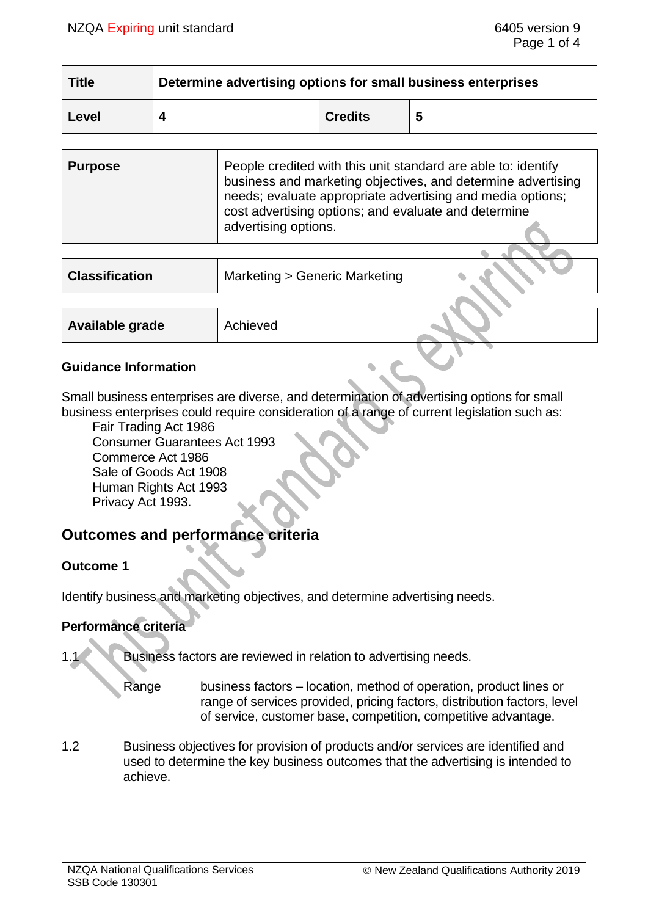| <b>Title</b> | Determine advertising options for small business enterprises |                |   |
|--------------|--------------------------------------------------------------|----------------|---|
| Level        |                                                              | <b>Credits</b> | 5 |

| <b>Purpose</b> | People credited with this unit standard are able to: identify<br>business and marketing objectives, and determine advertising<br>needs; evaluate appropriate advertising and media options;<br>cost advertising options; and evaluate and determine<br>advertising options. |
|----------------|-----------------------------------------------------------------------------------------------------------------------------------------------------------------------------------------------------------------------------------------------------------------------------|
|                |                                                                                                                                                                                                                                                                             |

| <b>Classification</b> | Marketing > Generic Marketing |  |
|-----------------------|-------------------------------|--|
|                       |                               |  |
| Available grade       | Achieved                      |  |
|                       |                               |  |

#### **Guidance Information**

Small business enterprises are diverse, and determination of advertising options for small business enterprises could require consideration of a range of current legislation such as:

Fair Trading Act 1986 Consumer Guarantees Act 1993 Commerce Act 1986 Sale of Goods Act 1908 Human Rights Act 1993 Privacy Act 1993.

# **Outcomes and performance criteria**

#### **Outcome 1**

Identify business and marketing objectives, and determine advertising needs.

# **Performance criteria**

- 1.1 Business factors are reviewed in relation to advertising needs.
	- Range business factors location, method of operation, product lines or range of services provided, pricing factors, distribution factors, level of service, customer base, competition, competitive advantage.
- 1.2 Business objectives for provision of products and/or services are identified and used to determine the key business outcomes that the advertising is intended to achieve.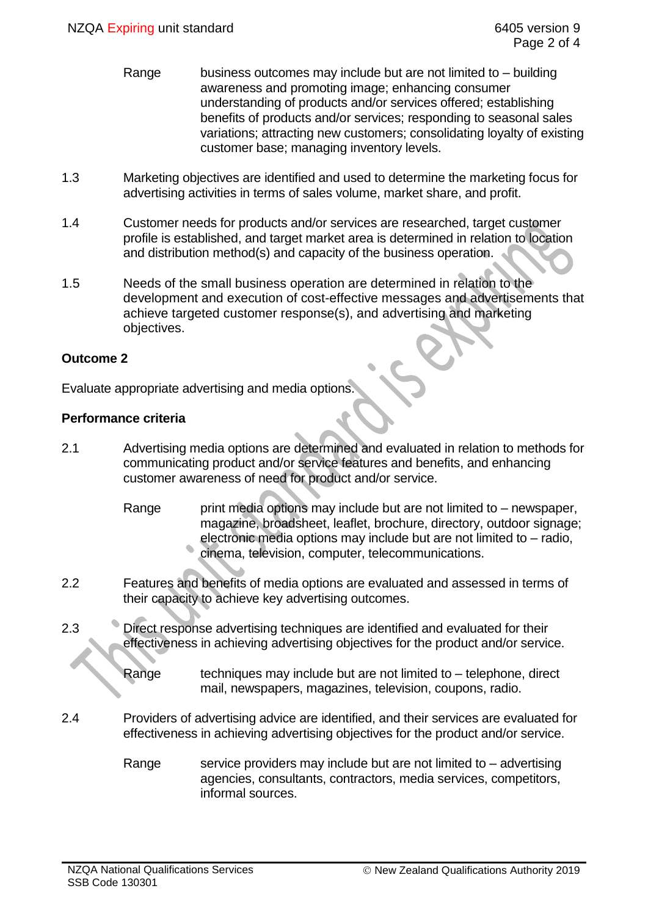- Range business outcomes may include but are not limited to building awareness and promoting image; enhancing consumer understanding of products and/or services offered; establishing benefits of products and/or services; responding to seasonal sales variations; attracting new customers; consolidating loyalty of existing customer base; managing inventory levels.
- 1.3 Marketing objectives are identified and used to determine the marketing focus for advertising activities in terms of sales volume, market share, and profit.
- 1.4 Customer needs for products and/or services are researched, target customer profile is established, and target market area is determined in relation to location and distribution method(s) and capacity of the business operation.
- 1.5 Needs of the small business operation are determined in relation to the development and execution of cost-effective messages and advertisements that achieve targeted customer response(s), and advertising and marketing objectives.

#### **Outcome 2**

Evaluate appropriate advertising and media options.

### **Performance criteria**

- 2.1 Advertising media options are determined and evaluated in relation to methods for communicating product and/or service features and benefits, and enhancing customer awareness of need for product and/or service.
	- Range print media options may include but are not limited to  $-$  newspaper, magazine, broadsheet, leaflet, brochure, directory, outdoor signage; electronic media options may include but are not limited to – radio, cinema, television, computer, telecommunications.
- 2.2 Features and benefits of media options are evaluated and assessed in terms of their capacity to achieve key advertising outcomes.
- 2.3 Direct response advertising techniques are identified and evaluated for their effectiveness in achieving advertising objectives for the product and/or service.
	- Range  $\qquad$  techniques may include but are not limited to  $-$  telephone, direct mail, newspapers, magazines, television, coupons, radio.
- 2.4 Providers of advertising advice are identified, and their services are evaluated for effectiveness in achieving advertising objectives for the product and/or service.
	- Range service providers may include but are not limited to  $-$  advertising agencies, consultants, contractors, media services, competitors, informal sources.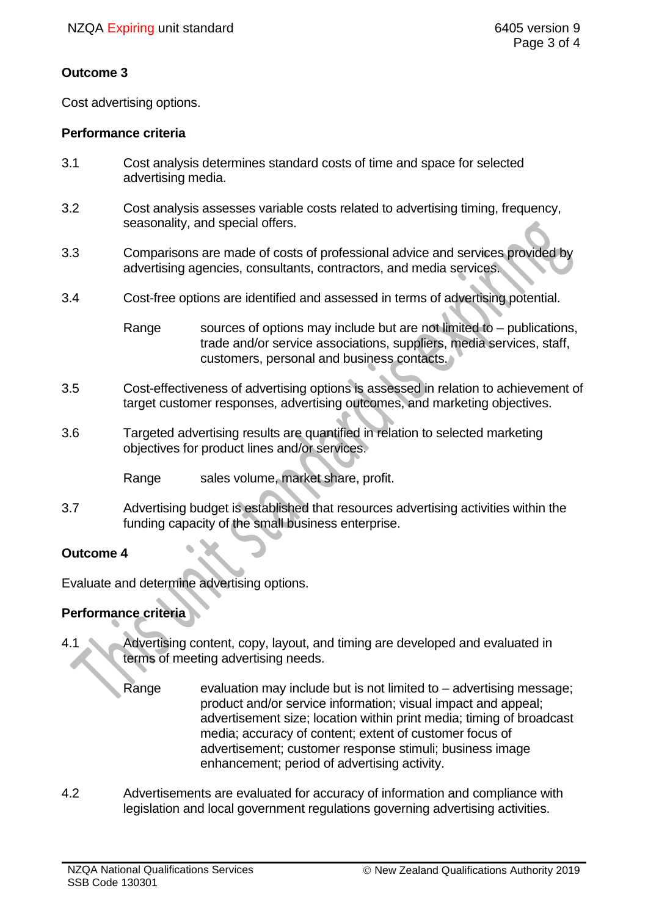### **Outcome 3**

Cost advertising options.

### **Performance criteria**

- 3.1 Cost analysis determines standard costs of time and space for selected advertising media.
- 3.2 Cost analysis assesses variable costs related to advertising timing, frequency, seasonality, and special offers.
- 3.3 Comparisons are made of costs of professional advice and services provided by advertising agencies, consultants, contractors, and media services.
- 3.4 Cost-free options are identified and assessed in terms of advertising potential.

Range sources of options may include but are not limited to – publications, trade and/or service associations, suppliers, media services, staff, customers, personal and business contacts.

- 3.5 Cost-effectiveness of advertising options is assessed in relation to achievement of target customer responses, advertising outcomes, and marketing objectives.
- 3.6 Targeted advertising results are quantified in relation to selected marketing objectives for product lines and/or services.

Range sales volume, market share, profit.

3.7 Advertising budget is established that resources advertising activities within the funding capacity of the small business enterprise.

# **Outcome 4**

Evaluate and determine advertising options.

# **Performance criteria**

- 4.1 Advertising content, copy, layout, and timing are developed and evaluated in terms of meeting advertising needs.
	- Range evaluation may include but is not limited to advertising message; product and/or service information; visual impact and appeal; advertisement size; location within print media; timing of broadcast media; accuracy of content; extent of customer focus of advertisement; customer response stimuli; business image enhancement; period of advertising activity.
- 4.2 Advertisements are evaluated for accuracy of information and compliance with legislation and local government regulations governing advertising activities.